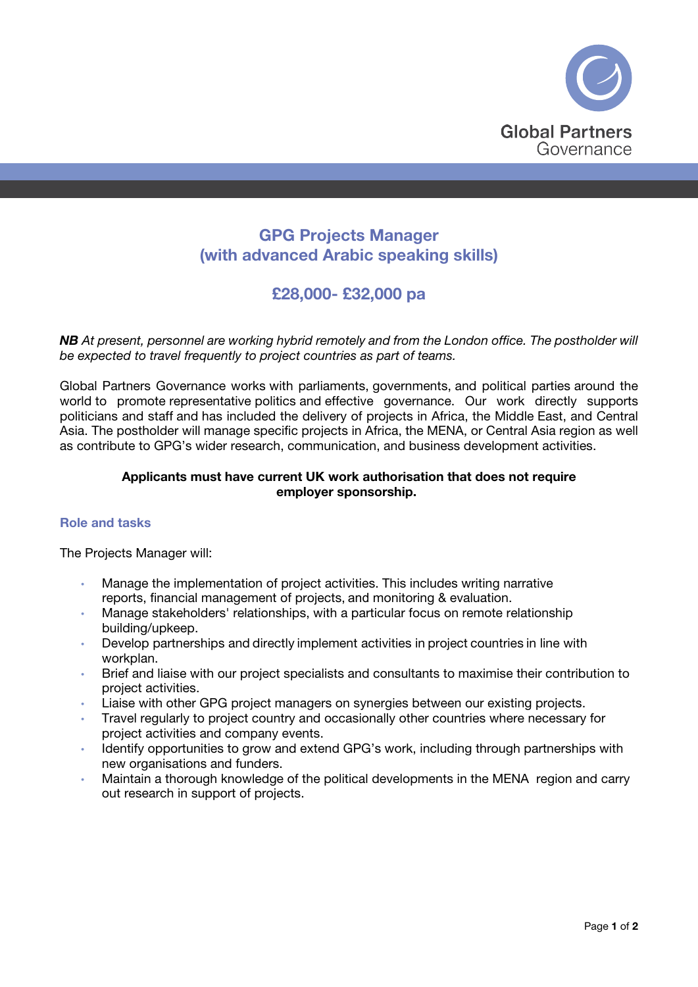

# GPG Projects Manager (with advanced Arabic speaking skills)

# £28,000- £32,000 pa

*NB At present, personnel are working hybrid remotely and from the London office. The postholder will be expected to travel frequently to project countries as part of teams.*

Global Partners Governance works with parliaments, governments, and political parties around the world to promote representative politics and effective governance. Our work directly supports politicians and staff and has included the delivery of projects in Africa, the Middle East, and Central Asia. The postholder will manage specific projects in Africa, the MENA, or Central Asia region as well as contribute to GPG's wider research, communication, and business development activities.

# Applicants must have current UK work authorisation that does not require employer sponsorship.

### Role and tasks

The Projects Manager will:  

- Manage the implementation of project activities. This includes writing narrative reports, financial management of projects, and monitoring & evaluation.
- Manage stakeholders' relationships, with a particular focus on remote relationship building/upkeep.
- Develop partnerships and directly implement activities in project countries in line with workplan.
- Brief and liaise with our project specialists and consultants to maximise their contribution to project activities.
- Liaise with other GPG project managers on synergies between our existing projects.
- Travel regularly to project country and occasionally other countries where necessary for project activities and company events.
- Identify opportunities to grow and extend GPG's work, including through partnerships with new organisations and funders.
- Maintain a thorough knowledge of the political developments in the MENA region and carry out research in support of projects.